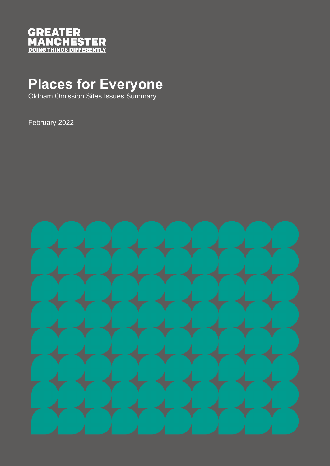

## **Places for Everyone**

Oldham Omission Sites Issues Summary

February 2022

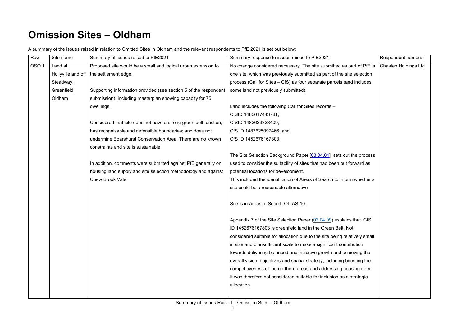## **Omission Sites – Oldham**

| A summary of the issues raised in relation to Omitted Sites in Oldham and the relevant respondents to PfE 2021 is set out below: |  |
|----------------------------------------------------------------------------------------------------------------------------------|--|
|                                                                                                                                  |  |

| Row   | Site name          | Summary of issues raised to PfE2021                              | Summary response to issues raised to PfE2021                              | Respondent name(s)          |
|-------|--------------------|------------------------------------------------------------------|---------------------------------------------------------------------------|-----------------------------|
| OSO.1 | Land at            | Proposed site would be a small and logical urban extension to    | No change considered necessary. The site submitted as part of PfE is      | <b>Chasten Holdings Ltd</b> |
|       | Hollyville and off | the settlement edge.                                             | one site, which was previously submitted as part of the site selection    |                             |
|       | Steadway,          |                                                                  | process (Call for Sites – CfS) as four separate parcels (and includes     |                             |
|       | Greenfield,        | Supporting information provided (see section 5 of the respondent | some land not previously submitted).                                      |                             |
|       | Oldham             | submission), including masterplan showing capacity for 75        |                                                                           |                             |
|       |                    | dwellings.                                                       | Land includes the following Call for Sites records -                      |                             |
|       |                    |                                                                  | CfSID 1483617443781;                                                      |                             |
|       |                    | Considered that site does not have a strong green belt function; | CfSID 1483623338409;                                                      |                             |
|       |                    | has recognisable and defensible boundaries; and does not         | CfS ID 1483625097466; and                                                 |                             |
|       |                    | undermine Boarshurst Conservation Area. There are no known       | CfS ID 1452676167803.                                                     |                             |
|       |                    | constraints and site is sustainable.                             |                                                                           |                             |
|       |                    |                                                                  | The Site Selection Background Paper [03.04.01] sets out the process       |                             |
|       |                    | In addition, comments were submitted against PfE generally on    | used to consider the suitability of sites that had been put forward as    |                             |
|       |                    | housing land supply and site selection methodology and against   | potential locations for development.                                      |                             |
|       |                    | Chew Brook Vale.                                                 | This included the identification of Areas of Search to inform whether a   |                             |
|       |                    |                                                                  | site could be a reasonable alternative                                    |                             |
|       |                    |                                                                  |                                                                           |                             |
|       |                    |                                                                  | Site is in Areas of Search OL-AS-10.                                      |                             |
|       |                    |                                                                  |                                                                           |                             |
|       |                    |                                                                  | Appendix 7 of the Site Selection Paper (03.04.09) explains that CfS       |                             |
|       |                    |                                                                  | ID 1452676167803 is greenfield land in the Green Belt. Not                |                             |
|       |                    |                                                                  | considered suitable for allocation due to the site being relatively small |                             |
|       |                    |                                                                  | in size and of insufficient scale to make a significant contribution      |                             |
|       |                    |                                                                  | towards delivering balanced and inclusive growth and achieving the        |                             |
|       |                    |                                                                  | overall vision, objectives and spatial strategy, including boosting the   |                             |
|       |                    |                                                                  | competitiveness of the northern areas and addressing housing need.        |                             |
|       |                    |                                                                  | It was therefore not considered suitable for inclusion as a strategic     |                             |
|       |                    |                                                                  | allocation.                                                               |                             |
|       |                    |                                                                  |                                                                           |                             |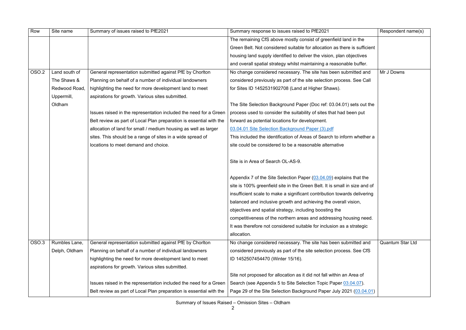| Row               | Site name     | Summary of issues raised to PfE2021                                 | Summary response to issues raised to PfE2021                               | Respondent name(s)      |
|-------------------|---------------|---------------------------------------------------------------------|----------------------------------------------------------------------------|-------------------------|
|                   |               |                                                                     | The remaining CfS above mostly consist of greenfield land in the           |                         |
|                   |               |                                                                     | Green Belt. Not considered suitable for allocation as there is sufficient  |                         |
|                   |               |                                                                     | housing land supply identified to deliver the vision, plan objectives      |                         |
|                   |               |                                                                     | and overall spatial strategy whilst maintaining a reasonable buffer.       |                         |
| <b>OSO.2</b>      | Land south of | General representation submitted against PfE by Chorlton            | No change considered necessary. The site has been submitted and            | Mr J Downs              |
|                   | The Shaws &   | Planning on behalf of a number of individual landowners             | considered previously as part of the site selection process. See Call      |                         |
|                   | Redwood Road, | highlighting the need for more development land to meet             | for Sites ID 1452531902708 (Land at Higher Shaws).                         |                         |
|                   | Uppermill,    | aspirations for growth. Various sites submitted.                    |                                                                            |                         |
|                   | Oldham        |                                                                     | The Site Selection Background Paper (Doc ref: 03.04.01) sets out the       |                         |
|                   |               | Issues raised in the representation included the need for a Green   | process used to consider the suitability of sites that had been put        |                         |
|                   |               | Belt review as part of Local Plan preparation is essential with the | forward as potential locations for development.                            |                         |
|                   |               | allocation of land for small / medium housing as well as larger     | 03.04.01 Site Selection Background Paper (3).pdf                           |                         |
|                   |               | sites. This should be a range of sites in a wide spread of          | This included the identification of Areas of Search to inform whether a    |                         |
|                   |               | locations to meet demand and choice.                                | site could be considered to be a reasonable alternative                    |                         |
|                   |               |                                                                     | Site is in Area of Search OL-AS-9.                                         |                         |
|                   |               |                                                                     | Appendix 7 of the Site Selection Paper (03.04.09) explains that the        |                         |
|                   |               |                                                                     | site is 100% greenfield site in the Green Belt. It is small in size and of |                         |
|                   |               |                                                                     | insufficient scale to make a significant contribution towards delivering   |                         |
|                   |               |                                                                     | balanced and inclusive growth and achieving the overall vision,            |                         |
|                   |               |                                                                     | objectives and spatial strategy, including boosting the                    |                         |
|                   |               |                                                                     | competitiveness of the northern areas and addressing housing need.         |                         |
|                   |               |                                                                     | It was therefore not considered suitable for inclusion as a strategic      |                         |
|                   |               |                                                                     | allocation.                                                                |                         |
| OSO <sub>.3</sub> | Rumbles Lane, | General representation submitted against PfE by Chorlton            | No change considered necessary. The site has been submitted and            | <b>Quantum Star Ltd</b> |
|                   | Delph, Oldham | Planning on behalf of a number of individual landowners             | considered previously as part of the site selection process. See CfS       |                         |
|                   |               | highlighting the need for more development land to meet             | ID 1452507454470 (Winter 15/16).                                           |                         |
|                   |               | aspirations for growth. Various sites submitted.                    |                                                                            |                         |
|                   |               |                                                                     | Site not proposed for allocation as it did not fall within an Area of      |                         |
|                   |               | Issues raised in the representation included the need for a Green   | Search (see Appendix 5 to Site Selection Topic Paper 03.04.07).            |                         |
|                   |               | Belt review as part of Local Plan preparation is essential with the | Page 29 of the Site Selection Background Paper July 2021 (03.04.01)        |                         |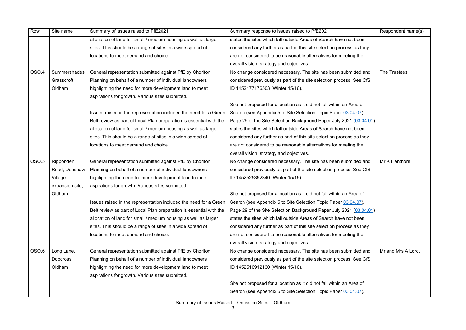| Row          | Site name       | Summary of issues raised to PfE2021                                 | Summary response to issues raised to PfE2021                                                                                        | Respondent name(s) |
|--------------|-----------------|---------------------------------------------------------------------|-------------------------------------------------------------------------------------------------------------------------------------|--------------------|
|              |                 | allocation of land for small / medium housing as well as larger     | states the sites which fall outside Areas of Search have not been                                                                   |                    |
|              |                 | sites. This should be a range of sites in a wide spread of          | considered any further as part of this site selection process as they                                                               |                    |
|              |                 | locations to meet demand and choice.                                | are not considered to be reasonable alternatives for meeting the                                                                    |                    |
|              |                 |                                                                     | overall vision, strategy and objectives.                                                                                            |                    |
| <b>OSO.4</b> | Summershades,   | General representation submitted against PfE by Chorlton            | No change considered necessary. The site has been submitted and                                                                     | The Trustees       |
|              | Grasscroft,     | Planning on behalf of a number of individual landowners             | considered previously as part of the site selection process. See CfS                                                                |                    |
|              | Oldham          | highlighting the need for more development land to meet             | ID 1452177176503 (Winter 15/16).                                                                                                    |                    |
|              |                 | aspirations for growth. Various sites submitted.                    |                                                                                                                                     |                    |
|              |                 |                                                                     | Site not proposed for allocation as it did not fall within an Area of                                                               |                    |
|              |                 | Issues raised in the representation included the need for a Green   | Search (see Appendix 5 to Site Selection Topic Paper 03.04.07).                                                                     |                    |
|              |                 | Belt review as part of Local Plan preparation is essential with the | Page 29 of the Site Selection Background Paper July 2021 (03.04.01)                                                                 |                    |
|              |                 | allocation of land for small / medium housing as well as larger     | states the sites which fall outside Areas of Search have not been                                                                   |                    |
|              |                 | sites. This should be a range of sites in a wide spread of          | considered any further as part of this site selection process as they                                                               |                    |
|              |                 | locations to meet demand and choice.                                | are not considered to be reasonable alternatives for meeting the                                                                    |                    |
|              |                 |                                                                     | overall vision, strategy and objectives.                                                                                            |                    |
| <b>OSO.5</b> | Ripponden       | General representation submitted against PfE by Chorlton            | No change considered necessary. The site has been submitted and                                                                     | Mr K Henthorn.     |
|              | Road, Denshaw   | Planning on behalf of a number of individual landowners             | considered previously as part of the site selection process. See CfS                                                                |                    |
|              | Village         | highlighting the need for more development land to meet             | ID 1452525392340 (Winter 15/15).                                                                                                    |                    |
|              | expansion site, | aspirations for growth. Various sites submitted.                    |                                                                                                                                     |                    |
|              | Oldham          |                                                                     | Site not proposed for allocation as it did not fall within an Area of                                                               |                    |
|              |                 |                                                                     | Issues raised in the representation included the need for a Green   Search (see Appendix 5 to Site Selection Topic Paper 03.04.07). |                    |
|              |                 | Belt review as part of Local Plan preparation is essential with the | Page 29 of the Site Selection Background Paper July 2021 (03.04.01)                                                                 |                    |
|              |                 | allocation of land for small / medium housing as well as larger     | states the sites which fall outside Areas of Search have not been                                                                   |                    |
|              |                 | sites. This should be a range of sites in a wide spread of          | considered any further as part of this site selection process as they                                                               |                    |
|              |                 | locations to meet demand and choice.                                | are not considered to be reasonable alternatives for meeting the                                                                    |                    |
|              |                 |                                                                     | overall vision, strategy and objectives.                                                                                            |                    |
| OSO.6        | Long Lane,      | General representation submitted against PfE by Chorlton            | No change considered necessary. The site has been submitted and                                                                     | Mr and Mrs A Lord. |
|              | Dobcross,       | Planning on behalf of a number of individual landowners             | considered previously as part of the site selection process. See CfS                                                                |                    |
|              | Oldham          | highlighting the need for more development land to meet             | ID 1452510912130 (Winter 15/16).                                                                                                    |                    |
|              |                 | aspirations for growth. Various sites submitted.                    |                                                                                                                                     |                    |
|              |                 |                                                                     | Site not proposed for allocation as it did not fall within an Area of                                                               |                    |
|              |                 |                                                                     | Search (see Appendix 5 to Site Selection Topic Paper 03.04.07).                                                                     |                    |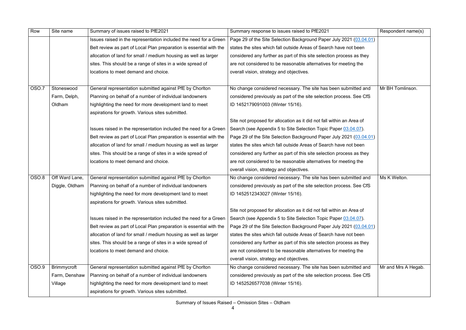| Row   | Site name      | Summary of issues raised to PfE2021                                 | Summary response to issues raised to PfE2021                          | Respondent name(s)  |
|-------|----------------|---------------------------------------------------------------------|-----------------------------------------------------------------------|---------------------|
|       |                | Issues raised in the representation included the need for a Green   | Page 29 of the Site Selection Background Paper July 2021 (03.04.01)   |                     |
|       |                | Belt review as part of Local Plan preparation is essential with the | states the sites which fall outside Areas of Search have not been     |                     |
|       |                | allocation of land for small / medium housing as well as larger     | considered any further as part of this site selection process as they |                     |
|       |                | sites. This should be a range of sites in a wide spread of          | are not considered to be reasonable alternatives for meeting the      |                     |
|       |                | locations to meet demand and choice.                                | overall vision, strategy and objectives.                              |                     |
|       |                |                                                                     |                                                                       |                     |
| OSO.7 | Stoneswood     | General representation submitted against PfE by Chorlton            | No change considered necessary. The site has been submitted and       | Mr BH Tomlinson.    |
|       | Farm, Delph,   | Planning on behalf of a number of individual landowners             | considered previously as part of the site selection process. See CfS  |                     |
|       | Oldham         | highlighting the need for more development land to meet             | ID 1452179091003 (Winter 15/16).                                      |                     |
|       |                | aspirations for growth. Various sites submitted.                    |                                                                       |                     |
|       |                |                                                                     | Site not proposed for allocation as it did not fall within an Area of |                     |
|       |                | Issues raised in the representation included the need for a Green   | Search (see Appendix 5 to Site Selection Topic Paper 03.04.07).       |                     |
|       |                | Belt review as part of Local Plan preparation is essential with the | Page 29 of the Site Selection Background Paper July 2021 (03.04.01)   |                     |
|       |                | allocation of land for small / medium housing as well as larger     | states the sites which fall outside Areas of Search have not been     |                     |
|       |                | sites. This should be a range of sites in a wide spread of          | considered any further as part of this site selection process as they |                     |
|       |                | locations to meet demand and choice.                                | are not considered to be reasonable alternatives for meeting the      |                     |
|       |                |                                                                     | overall vision, strategy and objectives.                              |                     |
| OSO.8 | Off Ward Lane, | General representation submitted against PfE by Chorlton            | No change considered necessary. The site has been submitted and       | Ms K Welton.        |
|       | Diggle, Oldham | Planning on behalf of a number of individual landowners             | considered previously as part of the site selection process. See CfS  |                     |
|       |                | highlighting the need for more development land to meet             | ID 1452512343027 (Winter 15/16).                                      |                     |
|       |                | aspirations for growth. Various sites submitted.                    |                                                                       |                     |
|       |                |                                                                     | Site not proposed for allocation as it did not fall within an Area of |                     |
|       |                | Issues raised in the representation included the need for a Green   | Search (see Appendix 5 to Site Selection Topic Paper 03.04.07).       |                     |
|       |                | Belt review as part of Local Plan preparation is essential with the | Page 29 of the Site Selection Background Paper July 2021 (03.04.01)   |                     |
|       |                | allocation of land for small / medium housing as well as larger     | states the sites which fall outside Areas of Search have not been     |                     |
|       |                | sites. This should be a range of sites in a wide spread of          | considered any further as part of this site selection process as they |                     |
|       |                | locations to meet demand and choice.                                | are not considered to be reasonable alternatives for meeting the      |                     |
|       |                |                                                                     | overall vision, strategy and objectives.                              |                     |
| OSO.9 | Brimmycroft    | General representation submitted against PfE by Chorlton            | No change considered necessary. The site has been submitted and       | Mr and Mrs A Hegab. |
|       | Farm, Denshaw  | Planning on behalf of a number of individual landowners             | considered previously as part of the site selection process. See CfS  |                     |
|       | Village        | highlighting the need for more development land to meet             | ID 1452526577038 (Winter 15/16).                                      |                     |
|       |                | aspirations for growth. Various sites submitted.                    |                                                                       |                     |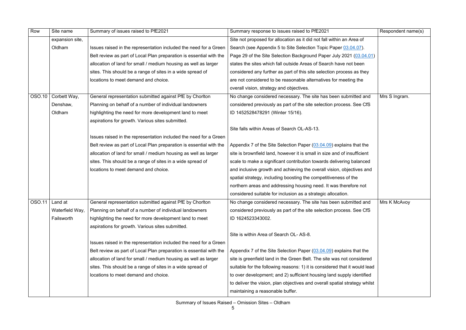| Row    | Site name        | Summary of issues raised to PfE2021                                 | Summary response to issues raised to PfE2021                               | Respondent name(s) |
|--------|------------------|---------------------------------------------------------------------|----------------------------------------------------------------------------|--------------------|
|        | expansion site,  |                                                                     | Site not proposed for allocation as it did not fall within an Area of      |                    |
|        | Oldham           | Issues raised in the representation included the need for a Green   | Search (see Appendix 5 to Site Selection Topic Paper 03.04.07).            |                    |
|        |                  | Belt review as part of Local Plan preparation is essential with the | Page 29 of the Site Selection Background Paper July 2021 (03.04.01)        |                    |
|        |                  | allocation of land for small / medium housing as well as larger     | states the sites which fall outside Areas of Search have not been          |                    |
|        |                  | sites. This should be a range of sites in a wide spread of          | considered any further as part of this site selection process as they      |                    |
|        |                  | locations to meet demand and choice.                                | are not considered to be reasonable alternatives for meeting the           |                    |
|        |                  |                                                                     | overall vision, strategy and objectives.                                   |                    |
| OSO.10 | Corbett Way,     | General representation submitted against PfE by Chorlton            | No change considered necessary. The site has been submitted and            | Mrs S Ingram.      |
|        | Denshaw,         | Planning on behalf of a number of individual landowners             | considered previously as part of the site selection process. See CfS       |                    |
|        | Oldham           | highlighting the need for more development land to meet             | ID 1452528478291 (Winter 15/16).                                           |                    |
|        |                  | aspirations for growth. Various sites submitted.                    |                                                                            |                    |
|        |                  |                                                                     | Site falls within Areas of Search OL-AS-13.                                |                    |
|        |                  | Issues raised in the representation included the need for a Green   |                                                                            |                    |
|        |                  | Belt review as part of Local Plan preparation is essential with the | Appendix 7 of the Site Selection Paper (03.04.09) explains that the        |                    |
|        |                  | allocation of land for small / medium housing as well as larger     | site is brownfield land, however it is small in size and of insufficient   |                    |
|        |                  | sites. This should be a range of sites in a wide spread of          | scale to make a significant contribution towards delivering balanced       |                    |
|        |                  | locations to meet demand and choice.                                | and inclusive growth and achieving the overall vision, objectives and      |                    |
|        |                  |                                                                     | spatial strategy, including boosting the competitiveness of the            |                    |
|        |                  |                                                                     | northern areas and addressing housing need. It was therefore not           |                    |
|        |                  |                                                                     | considered suitable for inclusion as a strategic allocation.               |                    |
|        | $OSO.11$ Land at | General representation submitted against PfE by Chorlton            | No change considered necessary. The site has been submitted and            | Mrs K McAvoy       |
|        | Waterfield Way,  | Planning on behalf of a number of individual landowners             | considered previously as part of the site selection process. See CfS       |                    |
|        | Failsworth       | highlighting the need for more development land to meet             | ID 1624523343002.                                                          |                    |
|        |                  | aspirations for growth. Various sites submitted.                    |                                                                            |                    |
|        |                  |                                                                     | Site is within Area of Search OL-AS-8.                                     |                    |
|        |                  | Issues raised in the representation included the need for a Green   |                                                                            |                    |
|        |                  | Belt review as part of Local Plan preparation is essential with the | Appendix 7 of the Site Selection Paper (03.04.09) explains that the        |                    |
|        |                  | allocation of land for small / medium housing as well as larger     | site is greenfield land in the Green Belt. The site was not considered     |                    |
|        |                  | sites. This should be a range of sites in a wide spread of          | suitable for the following reasons: 1) it is considered that it would lead |                    |
|        |                  | locations to meet demand and choice.                                | to over development; and 2) sufficient housing land supply identified      |                    |
|        |                  |                                                                     | to deliver the vision, plan objectives and overall spatial strategy whilst |                    |
|        |                  |                                                                     | maintaining a reasonable buffer.                                           |                    |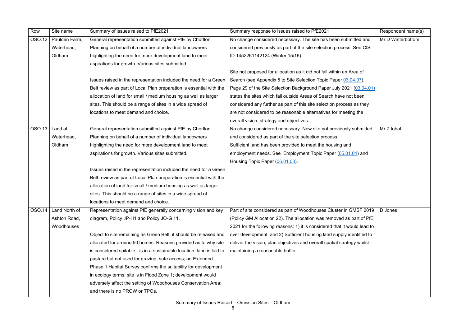| Row    | Site name     | Summary of issues raised to PfE2021                                    | Summary response to issues raised to PfE2021                              | Respondent name(s) |
|--------|---------------|------------------------------------------------------------------------|---------------------------------------------------------------------------|--------------------|
| OSO.12 | Paulden Farm, | General representation submitted against PfE by Chorlton               | No change considered necessary. The site has been submitted and           | Mr D Winterbottom  |
|        | Waterhead,    | Planning on behalf of a number of individual landowners                | considered previously as part of the site selection process. See CfS      |                    |
|        | Oldham        | highlighting the need for more development land to meet                | ID 1452261142124 (Winter 15/16).                                          |                    |
|        |               | aspirations for growth. Various sites submitted.                       |                                                                           |                    |
|        |               |                                                                        | Site not proposed for allocation as it did not fall within an Area of     |                    |
|        |               | Issues raised in the representation included the need for a Green      | Search (see Appendix 5 to Site Selection Topic Paper 03.04.07).           |                    |
|        |               | Belt review as part of Local Plan preparation is essential with the    | Page 29 of the Site Selection Background Paper July 2021 (03.04.01)       |                    |
|        |               | allocation of land for small / medium housing as well as larger        | states the sites which fall outside Areas of Search have not been         |                    |
|        |               | sites. This should be a range of sites in a wide spread of             | considered any further as part of this site selection process as they     |                    |
|        |               | locations to meet demand and choice.                                   | are not considered to be reasonable alternatives for meeting the          |                    |
|        |               |                                                                        | overall vision, strategy and objectives.                                  |                    |
| OSO.13 | Land at       | General representation submitted against PfE by Chorlton               | No change considered necessary. New site not previously submitted         | Mr Z Iqbal.        |
|        | Waterhead,    | Planning on behalf of a number of individual landowners                | and considered as part of the site selection process.                     |                    |
|        | Oldham        | highlighting the need for more development land to meet                | Sufficient land has been provided to meet the housing and                 |                    |
|        |               | aspirations for growth. Various sites submitted.                       | employment needs. See Employment Topic Paper (05.01.04) and               |                    |
|        |               |                                                                        | Housing Topic Paper (06.01.03).                                           |                    |
|        |               | Issues raised in the representation included the need for a Green      |                                                                           |                    |
|        |               | Belt review as part of Local Plan preparation is essential with the    |                                                                           |                    |
|        |               | allocation of land for small / medium housing as well as larger        |                                                                           |                    |
|        |               | sites. This should be a range of sites in a wide spread of             |                                                                           |                    |
|        |               | locations to meet demand and choice.                                   |                                                                           |                    |
| OSO.14 | Land North of | Representation against PfE generally concerning vision and key         | Part of site considered as part of Woodhouses Cluster in GMSF 2019        | D Jones            |
|        | Ashton Road,  | diagram, Policy JP-H1 and Policy JO-G 11.                              | (Policy GM Allocation 22). The allocation was removed as part of PfE      |                    |
|        | Woodhouses    |                                                                        | 2021 for the following reasons: 1) it is considered that it would lead to |                    |
|        |               | Object to site remaining as Green Belt, it should be released and      | over development; and 2) Sufficient housing land supply identified to     |                    |
|        |               | allocated for around 50 homes. Reasons provided as to why site         | deliver the vision, plan objectives and overall spatial strategy whilst   |                    |
|        |               | is considered suitable - is in a sustainable location; land is laid to | maintaining a reasonable buffer.                                          |                    |
|        |               | pasture but not used for grazing; safe access; an Extended             |                                                                           |                    |
|        |               | Phase 1 Habitat Survey confirms the suitability for development        |                                                                           |                    |
|        |               | in ecology terms; site is in Flood Zone 1; development would           |                                                                           |                    |
|        |               | adversely affect the setting of Woodhouses Conservation Area;          |                                                                           |                    |
|        |               | and there is no PROW or TPOs.                                          |                                                                           |                    |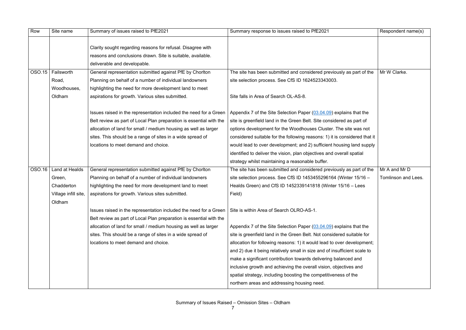| Row    | Site name            | Summary of issues raised to PfE2021                                                                                        | Summary response to issues raised to PfE2021                               | Respondent name(s)  |
|--------|----------------------|----------------------------------------------------------------------------------------------------------------------------|----------------------------------------------------------------------------|---------------------|
|        |                      | Clarity sought regarding reasons for refusal. Disagree with<br>reasons and conclusions drawn. Site is suitable, available. |                                                                            |                     |
|        |                      | deliverable and developable.                                                                                               |                                                                            |                     |
| OSO.15 | Failsworth           | General representation submitted against PfE by Chorlton                                                                   | The site has been submitted and considered previously as part of the       | Mr W Clarke.        |
|        | Road,                | Planning on behalf of a number of individual landowners                                                                    | site selection process. See CfS ID 1624523343003.                          |                     |
|        | Woodhouses,          | highlighting the need for more development land to meet                                                                    |                                                                            |                     |
|        | Oldham               | aspirations for growth. Various sites submitted.                                                                           | Site falls in Area of Search OL-AS-8.                                      |                     |
|        |                      | Issues raised in the representation included the need for a Green                                                          | Appendix 7 of the Site Selection Paper (03.04.09) explains that the        |                     |
|        |                      | Belt review as part of Local Plan preparation is essential with the                                                        | site is greenfield land in the Green Belt. Site considered as part of      |                     |
|        |                      | allocation of land for small / medium housing as well as larger                                                            | options development for the Woodhouses Cluster. The site was not           |                     |
|        |                      | sites. This should be a range of sites in a wide spread of                                                                 | considered suitable for the following reasons: 1) it is considered that it |                     |
|        |                      | locations to meet demand and choice.                                                                                       | would lead to over development; and 2) sufficient housing land supply      |                     |
|        |                      |                                                                                                                            | identified to deliver the vision, plan objectives and overall spatial      |                     |
|        |                      |                                                                                                                            | strategy whilst maintaining a reasonable buffer.                           |                     |
| OSO.16 | Land at Healds       | General representation submitted against PfE by Chorlton                                                                   | The site has been submitted and considered previously as part of the       | Mr A and Mr D       |
|        | Green,               | Planning on behalf of a number of individual landowners                                                                    | site selection process. See CfS ID $1453455296164$ (Winter $15/16 -$       | Tomlinson and Lees. |
|        | Chadderton           | highlighting the need for more development land to meet                                                                    | Healds Green) and CfS ID 1452339141818 (Winter 15/16 - Lees                |                     |
|        | Village infill site, | aspirations for growth. Various sites submitted.                                                                           | Field)                                                                     |                     |
|        | Oldham               | Issues raised in the representation included the need for a Green                                                          | Site is within Area of Search OLRO-AS-1.                                   |                     |
|        |                      | Belt review as part of Local Plan preparation is essential with the                                                        |                                                                            |                     |
|        |                      | allocation of land for small / medium housing as well as larger                                                            | Appendix 7 of the Site Selection Paper (03.04.09) explains that the        |                     |
|        |                      | sites. This should be a range of sites in a wide spread of                                                                 | site is greenfield land in the Green Belt. Not considered suitable for     |                     |
|        |                      | locations to meet demand and choice.                                                                                       | allocation for following reasons: 1) it would lead to over development;    |                     |
|        |                      |                                                                                                                            | and 2) due it being relatively small in size and of insufficient scale to  |                     |
|        |                      |                                                                                                                            | make a significant contribution towards delivering balanced and            |                     |
|        |                      |                                                                                                                            | inclusive growth and achieving the overall vision, objectives and          |                     |
|        |                      |                                                                                                                            | spatial strategy, including boosting the competitiveness of the            |                     |
|        |                      |                                                                                                                            | northern areas and addressing housing need.                                |                     |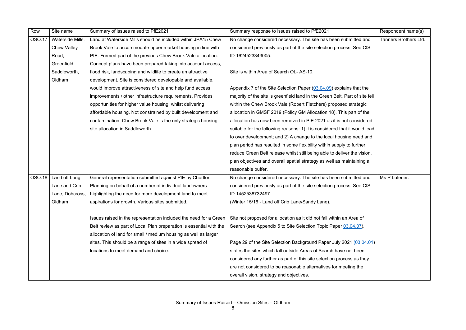| Row           | Site name          | Summary of issues raised to PfE2021                                 | Summary response to issues raised to PfE2021                                 | Respondent name(s)    |
|---------------|--------------------|---------------------------------------------------------------------|------------------------------------------------------------------------------|-----------------------|
| <b>OSO.17</b> | Waterside Mills,   | Land at Waterside Mills should be included within JPA15 Chew        | No change considered necessary. The site has been submitted and              | Tanners Brothers Ltd. |
|               | <b>Chew Valley</b> | Brook Vale to accommodate upper market housing in line with         | considered previously as part of the site selection process. See CfS         |                       |
|               | Road,              | PfE. Formed part of the previous Chew Brook Vale allocation.        | ID 1624523343005.                                                            |                       |
|               | Greenfield,        | Concept plans have been prepared taking into account access,        |                                                                              |                       |
|               | Saddleworth,       | flood risk, landscaping and wildlife to create an attractive        | Site is within Area of Search OL-AS-10.                                      |                       |
|               | Oldham             | development. Site is considered developable and available,          |                                                                              |                       |
|               |                    | would improve attractiveness of site and help fund access           | Appendix 7 of the Site Selection Paper (03.04.09) explains that the          |                       |
|               |                    | improvements / other infrastructure requirements. Provides          | majority of the site is greenfield land in the Green Belt. Part of site fell |                       |
|               |                    | opportunities for higher value housing, whilst delivering           | within the Chew Brook Vale (Robert Fletchers) proposed strategic             |                       |
|               |                    | affordable housing. Not constrained by built development and        | allocation in GMSF 2019 (Policy GM Allocation 18). This part of the          |                       |
|               |                    | contamination. Chew Brook Vale is the only strategic housing        | allocation has now been removed in PfE 2021 as it is not considered          |                       |
|               |                    | site allocation in Saddleworth.                                     | suitable for the following reasons: 1) it is considered that it would lead   |                       |
|               |                    |                                                                     | to over development; and 2) A change to the local housing need and           |                       |
|               |                    |                                                                     | plan period has resulted in some flexibility within supply to further        |                       |
|               |                    |                                                                     | reduce Green Belt release whilst still being able to deliver the vision,     |                       |
|               |                    |                                                                     | plan objectives and overall spatial strategy as well as maintaining a        |                       |
|               |                    |                                                                     | reasonable buffer.                                                           |                       |
| <b>OSO.18</b> | Land off Long      | General representation submitted against PfE by Chorlton            | No change considered necessary. The site has been submitted and              | Ms P Lutener.         |
|               | Lane and Crib      | Planning on behalf of a number of individual landowners             | considered previously as part of the site selection process. See CfS         |                       |
|               | Lane, Dobcross,    | highlighting the need for more development land to meet             | ID 1452538732497                                                             |                       |
|               | Oldham             | aspirations for growth. Various sites submitted.                    | (Winter 15/16 - Land off Crib Lane/Sandy Lane).                              |                       |
|               |                    |                                                                     |                                                                              |                       |
|               |                    | Issues raised in the representation included the need for a Green   | Site not proposed for allocation as it did not fall within an Area of        |                       |
|               |                    | Belt review as part of Local Plan preparation is essential with the | Search (see Appendix 5 to Site Selection Topic Paper 03.04.07).              |                       |
|               |                    | allocation of land for small / medium housing as well as larger     |                                                                              |                       |
|               |                    | sites. This should be a range of sites in a wide spread of          | Page 29 of the Site Selection Background Paper July 2021 (03.04.01)          |                       |
|               |                    | locations to meet demand and choice.                                | states the sites which fall outside Areas of Search have not been            |                       |
|               |                    |                                                                     | considered any further as part of this site selection process as they        |                       |
|               |                    |                                                                     | are not considered to be reasonable alternatives for meeting the             |                       |
|               |                    |                                                                     | overall vision, strategy and objectives.                                     |                       |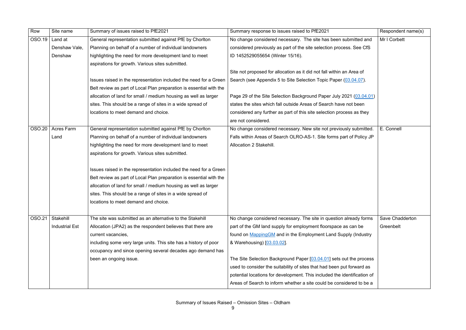| Row           | Site name             | Summary of issues raised to PfE2021                                 | Summary response to issues raised to PfE2021                             | Respondent name(s) |
|---------------|-----------------------|---------------------------------------------------------------------|--------------------------------------------------------------------------|--------------------|
| OSO.19        | Land at               | General representation submitted against PfE by Chorlton            | No change considered necessary. The site has been submitted and          | Mr I Corbett       |
|               | Denshaw Vale,         | Planning on behalf of a number of individual landowners             | considered previously as part of the site selection process. See CfS     |                    |
|               | Denshaw               | highlighting the need for more development land to meet             | ID 1452529055654 (Winter 15/16).                                         |                    |
|               |                       | aspirations for growth. Various sites submitted.                    |                                                                          |                    |
|               |                       |                                                                     | Site not proposed for allocation as it did not fall within an Area of    |                    |
|               |                       | Issues raised in the representation included the need for a Green   | Search (see Appendix 5 to Site Selection Topic Paper (03.04.07).         |                    |
|               |                       | Belt review as part of Local Plan preparation is essential with the |                                                                          |                    |
|               |                       | allocation of land for small / medium housing as well as larger     | Page 29 of the Site Selection Background Paper July 2021 (03.04.01)      |                    |
|               |                       | sites. This should be a range of sites in a wide spread of          | states the sites which fall outside Areas of Search have not been        |                    |
|               |                       | locations to meet demand and choice.                                | considered any further as part of this site selection process as they    |                    |
|               |                       |                                                                     | are not considered.                                                      |                    |
| <b>OSO.20</b> | <b>Acres Farm</b>     | General representation submitted against PfE by Chorlton            | No change considered necessary. New site not previously submitted.       | E. Connell         |
|               | Land                  | Planning on behalf of a number of individual landowners             | Falls within Areas of Search OLRO-AS-1. Site forms part of Policy JP     |                    |
|               |                       | highlighting the need for more development land to meet             | Allocation 2 Stakehill.                                                  |                    |
|               |                       | aspirations for growth. Various sites submitted.                    |                                                                          |                    |
|               |                       |                                                                     |                                                                          |                    |
|               |                       | Issues raised in the representation included the need for a Green   |                                                                          |                    |
|               |                       | Belt review as part of Local Plan preparation is essential with the |                                                                          |                    |
|               |                       | allocation of land for small / medium housing as well as larger     |                                                                          |                    |
|               |                       | sites. This should be a range of sites in a wide spread of          |                                                                          |                    |
|               |                       | locations to meet demand and choice.                                |                                                                          |                    |
|               |                       |                                                                     |                                                                          |                    |
| <b>OSO.21</b> | Stakehill             | The site was submitted as an alternative to the Stakehill           | No change considered necessary. The site in question already forms       | Save Chadderton    |
|               | <b>Industrial Est</b> | Allocation (JPA2) as the respondent believes that there are         | part of the GM land supply for employment floorspace as can be           | Greenbelt          |
|               |                       | current vacancies,                                                  | found on Mapping GM and in the Employment Land Supply (Industry          |                    |
|               |                       | including some very large units. This site has a history of poor    | & Warehousing) [03.03.02].                                               |                    |
|               |                       | occupancy and since opening several decades ago demand has          |                                                                          |                    |
|               |                       | been an ongoing issue.                                              | The Site Selection Background Paper [03.04.01] sets out the process      |                    |
|               |                       |                                                                     | used to consider the suitability of sites that had been put forward as   |                    |
|               |                       |                                                                     | potential locations for development. This included the identification of |                    |
|               |                       |                                                                     | Areas of Search to inform whether a site could be considered to be a     |                    |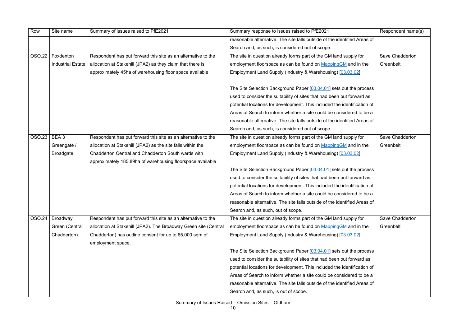| Row           | Site name                | Summary of issues raised to PfE2021                                          | Summary response to issues raised to PfE2021                              | Respondent name(s) |
|---------------|--------------------------|------------------------------------------------------------------------------|---------------------------------------------------------------------------|--------------------|
|               |                          |                                                                              | reasonable alternative. The site falls outside of the identified Areas of |                    |
|               |                          |                                                                              | Search and, as such, is considered out of scope.                          |                    |
| <b>OSO.22</b> | Foxdenton                | Respondent has put forward this site as an alternative to the                | The site in question already forms part of the GM land supply for         | Save Chadderton    |
|               | <b>Industrial Estate</b> | allocation at Stakehill (JPA2) as they claim that there is                   | employment floorspace as can be found on MappingGM and in the             | Greenbelt          |
|               |                          | approximately 45ha of warehousing floor space available                      | Employment Land Supply (Industry & Warehousing) [03.03.02].               |                    |
|               |                          |                                                                              |                                                                           |                    |
|               |                          |                                                                              | The Site Selection Background Paper [03.04.01] sets out the process       |                    |
|               |                          |                                                                              | used to consider the suitability of sites that had been put forward as    |                    |
|               |                          |                                                                              | potential locations for development. This included the identification of  |                    |
|               |                          |                                                                              | Areas of Search to inform whether a site could be considered to be a      |                    |
|               |                          |                                                                              | reasonable alternative. The site falls outside of the identified Areas of |                    |
|               |                          |                                                                              | Search and, as such, is considered out of scope.                          |                    |
| <b>OSO.23</b> | BEA 3                    | Respondent has put forward this site as an alternative to the                | The site in question already forms part of the GM land supply for         | Save Chadderton    |
|               | Greengate /              | allocation at Stakehill (JPA2) as the site falls within the                  | employment floorspace as can be found on MappingGM and in the             | Greenbelt          |
|               | <b>Broadgate</b>         | Chadderton Central and Chadderton South wards with                           | Employment Land Supply (Industry & Warehousing) [03.03.02].               |                    |
|               |                          | approximately 185.89ha of warehousing floorspace available                   |                                                                           |                    |
|               |                          |                                                                              | The Site Selection Background Paper [03.04.01] sets out the process       |                    |
|               |                          |                                                                              | used to consider the suitability of sites that had been put forward as    |                    |
|               |                          |                                                                              | potential locations for development. This included the identification of  |                    |
|               |                          |                                                                              | Areas of Search to inform whether a site could be considered to be a      |                    |
|               |                          |                                                                              | reasonable alternative. The site falls outside of the identified Areas of |                    |
|               |                          |                                                                              | Search and, as such, out of scope.                                        |                    |
| <b>OSO.24</b> | Broadway                 | Respondent has put forward this site as an alternative to the                | The site in question already forms part of the GM land supply for         | Save Chadderton    |
|               | Green (Central           | allocation at Stakehill (JPA2). The Broadway Green site (Central             | employment floorspace as can be found on MappingGM and in the             | Greenbelt          |
|               | Chadderton)              | Chadderton) has outline consent for up to 65,000 sqm of<br>employment space. | Employment Land Supply (Industry & Warehousing) [03.03.02].               |                    |
|               |                          |                                                                              | The Site Selection Background Paper [03.04.01] sets out the process       |                    |
|               |                          |                                                                              | used to consider the suitability of sites that had been put forward as    |                    |
|               |                          |                                                                              | potential locations for development. This included the identification of  |                    |
|               |                          |                                                                              | Areas of Search to inform whether a site could be considered to be a      |                    |
|               |                          |                                                                              | reasonable alternative. The site falls outside of the identified Areas of |                    |
|               |                          |                                                                              | Search and, as such, is out of scope.                                     |                    |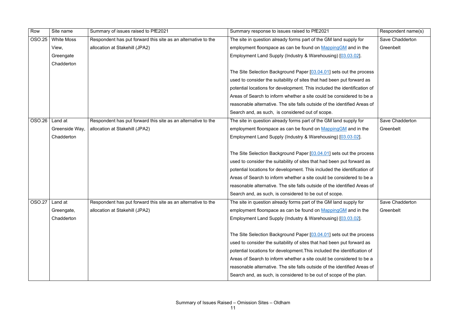| Row              | Site name         | Summary of issues raised to PfE2021                           | Summary response to issues raised to PfE2021                              | Respondent name(s) |
|------------------|-------------------|---------------------------------------------------------------|---------------------------------------------------------------------------|--------------------|
| OSO.25           | <b>White Moss</b> | Respondent has put forward this site as an alternative to the | The site in question already forms part of the GM land supply for         | Save Chadderton    |
|                  | View,             | allocation at Stakehill (JPA2)                                | employment floorspace as can be found on MappingGM and in the             | Greenbelt          |
|                  | Greengate         |                                                               | Employment Land Supply (Industry & Warehousing) [03.03.02].               |                    |
|                  | Chadderton        |                                                               |                                                                           |                    |
|                  |                   |                                                               | The Site Selection Background Paper [03.04.01] sets out the process       |                    |
|                  |                   |                                                               | used to consider the suitability of sites that had been put forward as    |                    |
|                  |                   |                                                               | potential locations for development. This included the identification of  |                    |
|                  |                   |                                                               | Areas of Search to inform whether a site could be considered to be a      |                    |
|                  |                   |                                                               | reasonable alternative. The site falls outside of the identified Areas of |                    |
|                  |                   |                                                               | Search and, as such, is considered out of scope.                          |                    |
| OSO.26           | Land at           | Respondent has put forward this site as an alternative to the | The site in question already forms part of the GM land supply for         | Save Chadderton    |
|                  | Greenside Way,    | allocation at Stakehill (JPA2)                                | employment floorspace as can be found on MappingGM and in the             | Greenbelt          |
|                  | Chadderton        |                                                               | Employment Land Supply (Industry & Warehousing) [03.03.02].               |                    |
|                  |                   |                                                               |                                                                           |                    |
|                  |                   |                                                               | The Site Selection Background Paper [03.04.01] sets out the process       |                    |
|                  |                   |                                                               | used to consider the suitability of sites that had been put forward as    |                    |
|                  |                   |                                                               | potential locations for development. This included the identification of  |                    |
|                  |                   |                                                               | Areas of Search to inform whether a site could be considered to be a      |                    |
|                  |                   |                                                               | reasonable alternative. The site falls outside of the identified Areas of |                    |
|                  |                   |                                                               | Search and, as such, is considered to be out of scope.                    |                    |
| $OSO.27$ Land at |                   | Respondent has put forward this site as an alternative to the | The site in question already forms part of the GM land supply for         | Save Chadderton    |
|                  | Greengate,        | allocation at Stakehill (JPA2)                                | employment floorspace as can be found on MappingGM and in the             | Greenbelt          |
|                  | Chadderton        |                                                               | Employment Land Supply (Industry & Warehousing) [03.03.02].               |                    |
|                  |                   |                                                               |                                                                           |                    |
|                  |                   |                                                               | The Site Selection Background Paper [03.04.01] sets out the process       |                    |
|                  |                   |                                                               | used to consider the suitability of sites that had been put forward as    |                    |
|                  |                   |                                                               | potential locations for development. This included the identification of  |                    |
|                  |                   |                                                               | Areas of Search to inform whether a site could be considered to be a      |                    |
|                  |                   |                                                               | reasonable alternative. The site falls outside of the identified Areas of |                    |
|                  |                   |                                                               | Search and, as such, is considered to be out of scope of the plan.        |                    |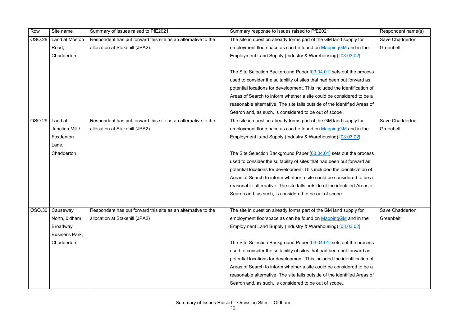| Row           | Site name             | Summary of issues raised to PfE2021                           | Summary response to issues raised to PfE2021                              | Respondent name(s) |
|---------------|-----------------------|---------------------------------------------------------------|---------------------------------------------------------------------------|--------------------|
| <b>OSO.28</b> | Land at Moston        | Respondent has put forward this site as an alternative to the | The site in question already forms part of the GM land supply for         | Save Chadderton    |
|               | Road,                 | allocation at Stakehill (JPA2).                               | employment floorspace as can be found on MappingGM and in the             | Greenbelt          |
|               | Chadderton            |                                                               | Employment Land Supply (Industry & Warehousing) [03.03.02].               |                    |
|               |                       |                                                               |                                                                           |                    |
|               |                       |                                                               | The Site Selection Background Paper [03.04.01] sets out the process       |                    |
|               |                       |                                                               | used to consider the suitability of sites that had been put forward as    |                    |
|               |                       |                                                               | potential locations for development. This included the identification of  |                    |
|               |                       |                                                               | Areas of Search to inform whether a site could be considered to be a      |                    |
|               |                       |                                                               | reasonable alternative. The site falls outside of the identified Areas of |                    |
|               |                       |                                                               | Search and, as such, is considered to be out of scope.                    |                    |
| OSO.29        | Land at               | Respondent has put forward this site as an alternative to the | The site in question already forms part of the GM land supply for         | Save Chadderton    |
|               | Junction Mill /       | allocation at Stakehill (JPA2)                                | employment floorspace as can be found on MappingGM and in the             | Greenbelt          |
|               | Foxdenton             |                                                               | Employment Land Supply (Industry & Warehousing) [03.03.02].               |                    |
|               | Lane,                 |                                                               |                                                                           |                    |
|               | Chadderton            |                                                               | The Site Selection Background Paper [03.04.01] sets out the process       |                    |
|               |                       |                                                               | used to consider the suitability of sites that had been put forward as    |                    |
|               |                       |                                                               | potential locations for development. This included the identification of  |                    |
|               |                       |                                                               | Areas of Search to inform whether a site could be considered to be a      |                    |
|               |                       |                                                               | reasonable alternative. The site falls outside of the identified Areas of |                    |
|               |                       |                                                               | Search and, as such, is considered to be out of scope.                    |                    |
|               |                       |                                                               |                                                                           |                    |
| OSO.30        | Causeway              | Respondent has put forward this site as an alternative to the | The site in question already forms part of the GM land supply for         | Save Chadderton    |
|               | North, Oldham         | allocation at Stakehill (JPA2)                                | employment floorspace as can be found on MappingGM and in the             | Greenbelt          |
|               | <b>Broadway</b>       |                                                               | Employment Land Supply (Industry & Warehousing) [03.03.02].               |                    |
|               | <b>Business Park,</b> |                                                               |                                                                           |                    |
|               | Chadderton            |                                                               | The Site Selection Background Paper [03.04.01] sets out the process       |                    |
|               |                       |                                                               | used to consider the suitability of sites that had been put forward as    |                    |
|               |                       |                                                               | potential locations for development. This included the identification of  |                    |
|               |                       |                                                               | Areas of Search to inform whether a site could be considered to be a      |                    |
|               |                       |                                                               | reasonable alternative. The site falls outside of the identified Areas of |                    |
|               |                       |                                                               | Search and, as such, is considered to be out of scope                     |                    |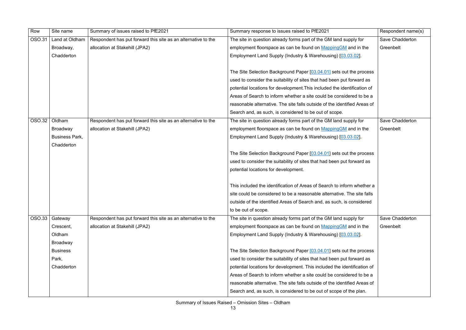| Row           | Site name             | Summary of issues raised to PfE2021                           | Summary response to issues raised to PfE2021                              | Respondent name(s)     |
|---------------|-----------------------|---------------------------------------------------------------|---------------------------------------------------------------------------|------------------------|
| OSO.31        | Land at Oldham        | Respondent has put forward this site as an alternative to the | The site in question already forms part of the GM land supply for         | Save Chadderton        |
|               | Broadway,             | allocation at Stakehill (JPA2)                                | employment floorspace as can be found on MappingGM and in the             | Greenbelt              |
|               | Chadderton            |                                                               | Employment Land Supply (Industry & Warehousing) [03.03.02].               |                        |
|               |                       |                                                               |                                                                           |                        |
|               |                       |                                                               | The Site Selection Background Paper [03.04.01] sets out the process       |                        |
|               |                       |                                                               | used to consider the suitability of sites that had been put forward as    |                        |
|               |                       |                                                               | potential locations for development. This included the identification of  |                        |
|               |                       |                                                               | Areas of Search to inform whether a site could be considered to be a      |                        |
|               |                       |                                                               | reasonable alternative. The site falls outside of the identified Areas of |                        |
|               |                       |                                                               | Search and, as such, is considered to be out of scope.                    |                        |
| <b>OSO.32</b> | Oldham                | Respondent has put forward this site as an alternative to the | The site in question already forms part of the GM land supply for         | <b>Save Chadderton</b> |
|               | <b>Broadway</b>       | allocation at Stakehill (JPA2)                                | employment floorspace as can be found on Mapping GM and in the            | Greenbelt              |
|               | <b>Business Park,</b> |                                                               | Employment Land Supply (Industry & Warehousing) [03.03.02].               |                        |
|               | Chadderton            |                                                               |                                                                           |                        |
|               |                       |                                                               | The Site Selection Background Paper [03.04.01] sets out the process       |                        |
|               |                       |                                                               | used to consider the suitability of sites that had been put forward as    |                        |
|               |                       |                                                               | potential locations for development.                                      |                        |
|               |                       |                                                               |                                                                           |                        |
|               |                       |                                                               | This included the identification of Areas of Search to inform whether a   |                        |
|               |                       |                                                               | site could be considered to be a reasonable alternative. The site falls   |                        |
|               |                       |                                                               | outside of the identified Areas of Search and, as such, is considered     |                        |
|               |                       |                                                               | to be out of scope.                                                       |                        |
| <b>OSO.33</b> | Gateway               | Respondent has put forward this site as an alternative to the | The site in question already forms part of the GM land supply for         | Save Chadderton        |
|               | Crescent,             | allocation at Stakehill (JPA2)                                | employment floorspace as can be found on MappingGM and in the             | Greenbelt              |
|               | Oldham                |                                                               | Employment Land Supply (Industry & Warehousing) [03.03.02].               |                        |
|               | <b>Broadway</b>       |                                                               |                                                                           |                        |
|               | <b>Business</b>       |                                                               | The Site Selection Background Paper [03.04.01] sets out the process       |                        |
|               | Park,                 |                                                               | used to consider the suitability of sites that had been put forward as    |                        |
|               | Chadderton            |                                                               | potential locations for development. This included the identification of  |                        |
|               |                       |                                                               | Areas of Search to inform whether a site could be considered to be a      |                        |
|               |                       |                                                               | reasonable alternative. The site falls outside of the identified Areas of |                        |
|               |                       |                                                               | Search and, as such, is considered to be out of scope of the plan.        |                        |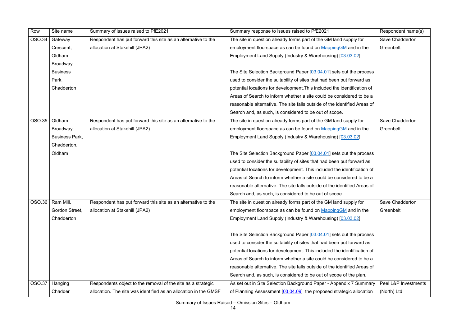| Row           | Site name             | Summary of issues raised to PfE2021                              | Summary response to issues raised to PfE2021                              | Respondent name(s)   |
|---------------|-----------------------|------------------------------------------------------------------|---------------------------------------------------------------------------|----------------------|
| <b>OSO.34</b> | Gateway               | Respondent has put forward this site as an alternative to the    | The site in question already forms part of the GM land supply for         | Save Chadderton      |
|               | Crescent,             | allocation at Stakehill (JPA2)                                   | employment floorspace as can be found on MappingGM and in the             | Greenbelt            |
|               | Oldham                |                                                                  | Employment Land Supply (Industry & Warehousing) [03.03.02].               |                      |
|               | <b>Broadway</b>       |                                                                  |                                                                           |                      |
|               | <b>Business</b>       |                                                                  | The Site Selection Background Paper [03.04.01] sets out the process       |                      |
|               | Park,                 |                                                                  | used to consider the suitability of sites that had been put forward as    |                      |
|               | Chadderton            |                                                                  | potential locations for development. This included the identification of  |                      |
|               |                       |                                                                  | Areas of Search to inform whether a site could be considered to be a      |                      |
|               |                       |                                                                  | reasonable alternative. The site falls outside of the identified Areas of |                      |
|               |                       |                                                                  | Search and, as such, is considered to be out of scope.                    |                      |
| <b>OSO.35</b> | Oldham                | Respondent has put forward this site as an alternative to the    | The site in question already forms part of the GM land supply for         | Save Chadderton      |
|               | <b>Broadway</b>       | allocation at Stakehill (JPA2)                                   | employment floorspace as can be found on MappingGM and in the             | Greenbelt            |
|               | <b>Business Park,</b> |                                                                  | Employment Land Supply (Industry & Warehousing) [03.03.02].               |                      |
|               | Chadderton,           |                                                                  |                                                                           |                      |
|               | Oldham                |                                                                  | The Site Selection Background Paper [03.04.01] sets out the process       |                      |
|               |                       |                                                                  | used to consider the suitability of sites that had been put forward as    |                      |
|               |                       |                                                                  | potential locations for development. This included the identification of  |                      |
|               |                       |                                                                  | Areas of Search to inform whether a site could be considered to be a      |                      |
|               |                       |                                                                  | reasonable alternative. The site falls outside of the identified Areas of |                      |
|               |                       |                                                                  | Search and, as such, is considered to be out of scope.                    |                      |
|               | $OSO.36$   Ram Mill,  | Respondent has put forward this site as an alternative to the    | The site in question already forms part of the GM land supply for         | Save Chadderton      |
|               | Gordon Street,        | allocation at Stakehill (JPA2)                                   | employment floorspace as can be found on Mapping GM and in the            | Greenbelt            |
|               | Chadderton            |                                                                  | Employment Land Supply (Industry & Warehousing) [03.03.02].               |                      |
|               |                       |                                                                  |                                                                           |                      |
|               |                       |                                                                  | The Site Selection Background Paper [03.04.01] sets out the process       |                      |
|               |                       |                                                                  | used to consider the suitability of sites that had been put forward as    |                      |
|               |                       |                                                                  | potential locations for development. This included the identification of  |                      |
|               |                       |                                                                  | Areas of Search to inform whether a site could be considered to be a      |                      |
|               |                       |                                                                  | reasonable alternative. The site falls outside of the identified Areas of |                      |
|               |                       |                                                                  | Search and, as such, is considered to be out of scope of the plan.        |                      |
| <b>OSO.37</b> | Hanging               | Respondents object to the removal of the site as a strategic     | As set out in Site Selection Background Paper - Appendix 7 Summary        | Peel L&P Investments |
|               | Chadder               | allocation. The site was identified as an allocation in the GMSF | of Planning Assessment [03.04.09] the proposed strategic allocation       | (North) Ltd          |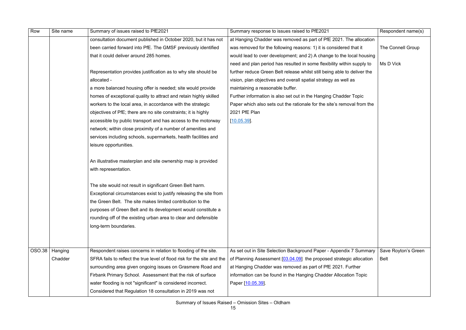| Row    | Site name | Summary of issues raised to PfE2021                                     | Summary response to issues raised to PfE2021                             | Respondent name(s)  |
|--------|-----------|-------------------------------------------------------------------------|--------------------------------------------------------------------------|---------------------|
|        |           | consultation document published in October 2020, but it has not         | at Hanging Chadder was removed as part of PfE 2021. The allocation       |                     |
|        |           | been carried forward into PfE. The GMSF previously identified           | was removed for the following reasons: 1) it is considered that it       | The Connell Group   |
|        |           | that it could deliver around 285 homes.                                 | would lead to over development; and 2) A change to the local housing     |                     |
|        |           |                                                                         | need and plan period has resulted in some flexibility within supply to   | Ms D Vick           |
|        |           | Representation provides justification as to why site should be          | further reduce Green Belt release whilst still being able to deliver the |                     |
|        |           | allocated -                                                             | vision, plan objectives and overall spatial strategy as well as          |                     |
|        |           | a more balanced housing offer is needed; site would provide             | maintaining a reasonable buffer.                                         |                     |
|        |           | homes of exceptional quality to attract and retain highly skilled       | Further information is also set out in the Hanging Chadder Topic         |                     |
|        |           | workers to the local area, in accordance with the strategic             | Paper which also sets out the rationale for the site's removal from the  |                     |
|        |           | objectives of PfE; there are no site constraints; it is highly          | 2021 PfE Plan                                                            |                     |
|        |           | accessible by public transport and has access to the motorway           | [10.05.39]                                                               |                     |
|        |           | network; within close proximity of a number of amenities and            |                                                                          |                     |
|        |           | services including schools, supermarkets, health facilities and         |                                                                          |                     |
|        |           | leisure opportunities.                                                  |                                                                          |                     |
|        |           |                                                                         |                                                                          |                     |
|        |           | An illustrative masterplan and site ownership map is provided           |                                                                          |                     |
|        |           | with representation.                                                    |                                                                          |                     |
|        |           |                                                                         |                                                                          |                     |
|        |           | The site would not result in significant Green Belt harm.               |                                                                          |                     |
|        |           | Exceptional circumstances exist to justify releasing the site from      |                                                                          |                     |
|        |           | the Green Belt. The site makes limited contribution to the              |                                                                          |                     |
|        |           | purposes of Green Belt and its development would constitute a           |                                                                          |                     |
|        |           | rounding off of the existing urban area to clear and defensible         |                                                                          |                     |
|        |           | long-term boundaries.                                                   |                                                                          |                     |
|        |           |                                                                         |                                                                          |                     |
|        |           |                                                                         |                                                                          |                     |
| OSO.38 | Hanging   | Respondent raises concerns in relation to flooding of the site.         | As set out in Site Selection Background Paper - Appendix 7 Summary       | Save Royton's Green |
|        | Chadder   | SFRA fails to reflect the true level of flood risk for the site and the | of Planning Assessment [03.04.09] the proposed strategic allocation      | Belt                |
|        |           | surrounding area given ongoing issues on Grasmere Road and              | at Hanging Chadder was removed as part of PfE 2021. Further              |                     |
|        |           | Firbank Primary School. Assessment that the risk of surface             | information can be found in the Hanging Chadder Allocation Topic         |                     |
|        |           | water flooding is not "significant" is considered incorrect.            | Paper [10.05.39]                                                         |                     |
|        |           | Considered that Regulation 18 consultation in 2019 was not              |                                                                          |                     |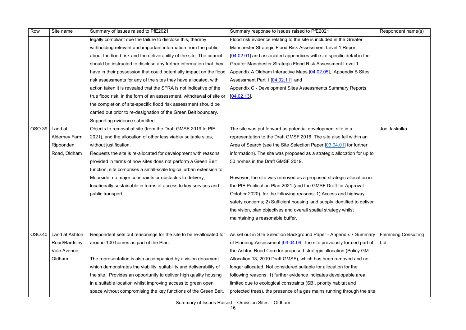| Row    | Site name      | Summary of issues raised to PfE2021                                  | Summary response to issues raised to PfE2021                             | Respondent name(s)         |
|--------|----------------|----------------------------------------------------------------------|--------------------------------------------------------------------------|----------------------------|
|        |                | legally compliant due the failure to disclose this, thereby          | Flood risk evidence relating to the site is included in the Greater      |                            |
|        |                | withholding relevant and important information from the public       | Manchester Strategic Flood Risk Assessment Level 1 Report                |                            |
|        |                | about the flood risk and the deliverability of the site. The council | [04.02.01] and associated appendices with site specific detail in the    |                            |
|        |                | should be instructed to disclose any further information that they   | Greater Manchester Strategic Flood Risk Assessment Level 1               |                            |
|        |                | have in their possession that could potentially impact on the flood  | Appendix A Oldham Interactive Maps [04.02.05], Appendix B Sites          |                            |
|        |                | risk assessments for any of the sites they have allocated, with      | Assessment Part 1 [04.02.11] and                                         |                            |
|        |                | action taken it is revealed that the SFRA is not indicative of the   | Appendix C - Development Sites Assessments Summary Reports               |                            |
|        |                | true flood risk, in the form of an assessment, withdrawal of site or | [04.02.13]                                                               |                            |
|        |                | the completion of site-specific flood risk assessment should be      |                                                                          |                            |
|        |                | carried out prior to re-designation of the Green Belt boundary.      |                                                                          |                            |
|        |                | Supporting evidence submitted.                                       |                                                                          |                            |
| OSO.39 | Land at        | Objects to removal of site (from the Draft GMSF 2019 to PfE          | The site was put forward as potential development site in a              | Joe Jaskolka               |
|        | Alderney Farm, | 2021), and the allocation of other less viable/ suitable sites,      | representation to the Draft GMSF 2016. The site also fell within an      |                            |
|        | Ripponden      | without justification.                                               | Area of Search (see the Site Selection Paper [03.04.01] for further      |                            |
|        | Road, Oldham   | Requests the site is re-allocated for development with reasons       | information). The site was proposed as a strategic allocation for up to  |                            |
|        |                | provided in terms of how sites does not perform a Green Belt         | 50 homes in the Draft GMSF 2019.                                         |                            |
|        |                | function; site comprises a small-scale logical urban extension to    |                                                                          |                            |
|        |                | Moorside; no major constraints or obstacles to delivery;             | However, the site was removed as a proposed strategic allocation in      |                            |
|        |                | locationally sustainable in terms of access to key services and      | the PfE Publication Plan 2021 (and the GMSF Draft for Approval           |                            |
|        |                | public transport.                                                    | October 2020), for the following reasons: 1) Access and highway          |                            |
|        |                |                                                                      | safety concerns; 2) Sufficient housing land supply identified to deliver |                            |
|        |                |                                                                      | the vision, plan objectives and overall spatial strategy whilst          |                            |
|        |                |                                                                      | maintaining a reasonable buffer.                                         |                            |
|        |                |                                                                      |                                                                          |                            |
| OSO.40 | Land at Ashton | Respondent sets out reasonings for the site to be re-allocated for   | As set out in Site Selection Background Paper - Appendix 7 Summary       | <b>Flemming Consulting</b> |
|        | Road/Bardsley  | around 100 homes as part of the Plan.                                | of Planning Assessment $[03.04.09]$ the site previously formed part of   | Ltd                        |
|        | Vale Avenue,   |                                                                      | the Ashton Road Corridor proposed strategic allocation (Policy GM        |                            |
|        | Oldham         | The representation is also accompanied by a vision document          | Allocation 13, 2019 Draft GMSF), which has been removed and no           |                            |
|        |                | which demonstrates the viability, suitability and deliverability of  | longer allocated. Not considered suitable for allocation for the         |                            |
|        |                | the site. Provides an opportunity to deliver high quality housing    | following reasons: 1) further evidence indicates developable area        |                            |
|        |                | in a suitable location whilst improving access to green open         | limited due to ecological constraints (SBI, priority habitat and         |                            |
|        |                | space without compromising the key functions of the Green Belt.      | protected trees), the presence of a gas mains running through the site   |                            |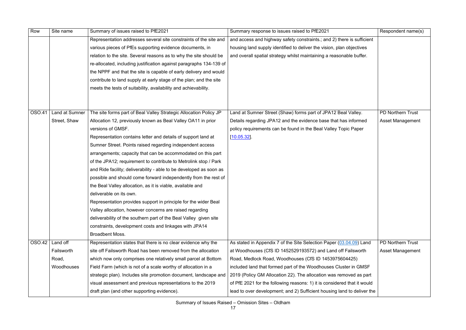| Row    | Site name             | Summary of issues raised to PfE2021                                              | Summary response to issues raised to PfE2021                             | Respondent name(s)       |
|--------|-----------------------|----------------------------------------------------------------------------------|--------------------------------------------------------------------------|--------------------------|
|        |                       | Representation addresses several site constraints of the site and                | and access and highway safety constraints.; and 2) there is sufficient   |                          |
|        |                       | various pieces of PfEs supporting evidence documents, in                         | housing land supply identified to deliver the vision, plan objectives    |                          |
|        |                       | relation to the site. Several reasons as to why the site should be               | and overall spatial strategy whilst maintaining a reasonable buffer.     |                          |
|        |                       | re-allocated, including justification against paragraphs 134-139 of              |                                                                          |                          |
|        |                       | the NPPF and that the site is capable of early delivery and would                |                                                                          |                          |
|        |                       | contribute to land supply at early stage of the plan; and the site               |                                                                          |                          |
|        |                       | meets the tests of suitability, availability and achievability.                  |                                                                          |                          |
| OSO.41 | <b>Land at Sumner</b> | The site forms part of Beal Valley Strategic Allocation Policy JP                | Land at Sumner Street (Shaw) forms part of JPA12 Beal Valley.            | <b>PD Northern Trust</b> |
|        | Street, Shaw          | Allocation 12, previously known as Beal Valley OA11 in prior                     | Details regarding JPA12 and the evidence base that has informed          | Asset Management         |
|        |                       | versions of GMSF.                                                                | policy requirements can be found in the Beal Valley Topic Paper          |                          |
|        |                       | Representation contains letter and details of support land at                    | [10.05.32]                                                               |                          |
|        |                       | Sumner Street. Points raised regarding independent access                        |                                                                          |                          |
|        |                       | arrangements; capacity that can be accommodated on this part                     |                                                                          |                          |
|        |                       | of the JPA12; requirement to contribute to Metrolink stop / Park                 |                                                                          |                          |
|        |                       | and Ride facility; deliverability - able to be developed as soon as              |                                                                          |                          |
|        |                       | possible and should come forward independently from the rest of                  |                                                                          |                          |
|        |                       | the Beal Valley allocation, as it is viable, available and                       |                                                                          |                          |
|        |                       | deliverable on its own.                                                          |                                                                          |                          |
|        |                       | Representation provides support in principle for the wider Beal                  |                                                                          |                          |
|        |                       | Valley allocation, however concerns are raised regarding                         |                                                                          |                          |
|        |                       | deliverability of the southern part of the Beal Valley given site                |                                                                          |                          |
|        |                       | constraints, development costs and linkages with JPA14<br><b>Broadbent Moss.</b> |                                                                          |                          |
| OSO.42 | Land off              | Representation states that there is no clear evidence why the                    | As stated in Appendix 7 of the Site Selection Paper (03.04.09) Land      | <b>PD Northern Trust</b> |
|        | Failsworth            | site off Failsworth Road has been removed from the allocation                    | at Woodhouses (CfS ID 1452529193572) and Land off Failsworth             | Asset Management         |
|        | Road,                 | which now only comprises one relatively small parcel at Bottom                   | Road, Medlock Road, Woodhouses (CfS ID 1453975604425)                    |                          |
|        | Woodhouses            | Field Farm (which is not of a scale worthy of allocation in a                    | included land that formed part of the Woodhouses Cluster in GMSF         |                          |
|        |                       | strategic plan). Includes site promotion document, landscape and                 | 2019 (Policy GM Allocation 22). The allocation was removed as part       |                          |
|        |                       | visual assessment and previous representations to the 2019                       | of PfE 2021 for the following reasons: 1) it is considered that it would |                          |
|        |                       | draft plan (and other supporting evidence).                                      | lead to over development; and 2) Sufficient housing land to deliver the  |                          |